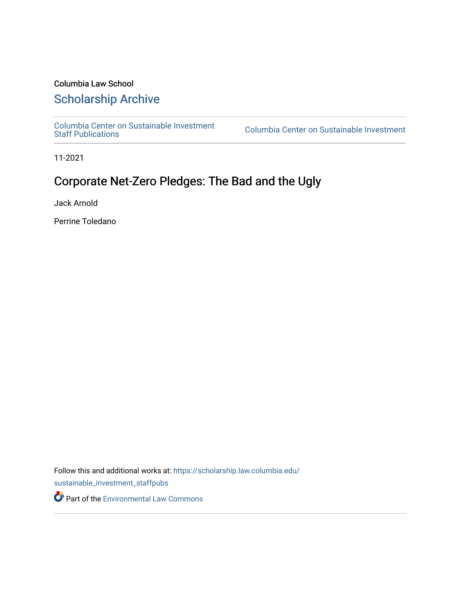## Columbia Law School

# [Scholarship Archive](https://scholarship.law.columbia.edu/)

[Columbia Center on Sustainable Investment](https://scholarship.law.columbia.edu/sustainable_investment_staffpubs) 

Columbia Center on Sustainable Investment

11-2021

# Corporate Net-Zero Pledges: The Bad and the Ugly

Jack Arnold

Perrine Toledano

Follow this and additional works at: [https://scholarship.law.columbia.edu/](https://scholarship.law.columbia.edu/sustainable_investment_staffpubs?utm_source=scholarship.law.columbia.edu%2Fsustainable_investment_staffpubs%2F211&utm_medium=PDF&utm_campaign=PDFCoverPages) [sustainable\\_investment\\_staffpubs](https://scholarship.law.columbia.edu/sustainable_investment_staffpubs?utm_source=scholarship.law.columbia.edu%2Fsustainable_investment_staffpubs%2F211&utm_medium=PDF&utm_campaign=PDFCoverPages)

Part of the [Environmental Law Commons](http://network.bepress.com/hgg/discipline/599?utm_source=scholarship.law.columbia.edu%2Fsustainable_investment_staffpubs%2F211&utm_medium=PDF&utm_campaign=PDFCoverPages)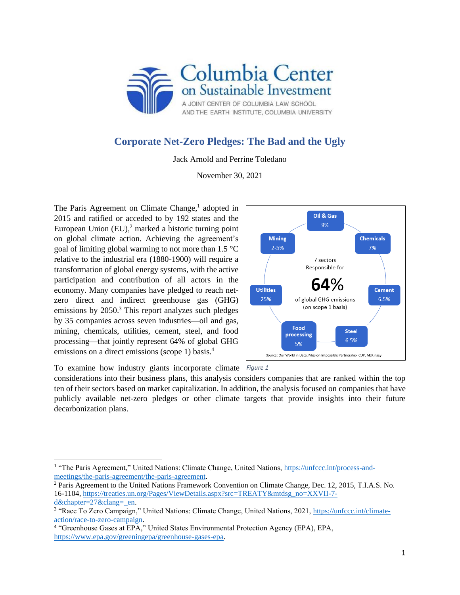

## **Corporate Net-Zero Pledges: The Bad and the Ugly**

Jack Arnold and Perrine Toledano

November 30, 2021

The Paris Agreement on Climate Change,<sup>1</sup> adopted in 2015 and ratified or acceded to by 192 states and the European Union  $(EU)$ ,<sup>2</sup> marked a historic turning point on global climate action. Achieving the agreement's goal of limiting global warming to not more than 1.5 °C relative to the industrial era (1880-1900) will require a transformation of global energy systems, with the active participation and contribution of all actors in the economy. Many companies have pledged to reach netzero direct and indirect greenhouse gas (GHG) emissions by 2050.<sup>3</sup> This report analyzes such pledges by 35 companies across seven industries—oil and gas, mining, chemicals, utilities, cement, steel, and food processing—that jointly represent 64% of global GHG emissions on a direct emissions (scope 1) basis.<sup>4</sup>



To examine how industry giants incorporate climate *Figure 1*

considerations into their business plans, this analysis considers companies that are ranked within the top ten of their sectors based on market capitalization. In addition, the analysis focused on companies that have publicly available net-zero pledges or other climate targets that provide insights into their future decarbonization plans.

<sup>&</sup>lt;sup>1</sup> "The Paris Agreement," United Nations: Climate Change, United Nations, [https://unfccc.int/process-and](about:blank)[meetings/the-paris-agreement/the-paris-agreement.](about:blank)

<sup>2</sup> Paris Agreement to the United Nations Framework Convention on Climate Change, Dec. 12, 2015, T.I.A.S. No. 16-1104, [https://treaties.un.org/Pages/ViewDetails.aspx?src=TREATY&mtdsg\\_no=XXVII-7](about:blank) d&chapter=27&clang= en.

<sup>&</sup>lt;sup>3</sup> "Race To Zero Campaign," United Nations: Climate Change, United Nations, 2021, [https://unfccc.int/climate-](about:blank)

[action/race-to-zero-campaign.](about:blank)<br><sup>4</sup> "Greenhouse Gases at EPA," United States Environmental Protection Agency (EPA), EPA, [https://www.epa.gov/greeningepa/greenhouse-gases-epa.](about:blank)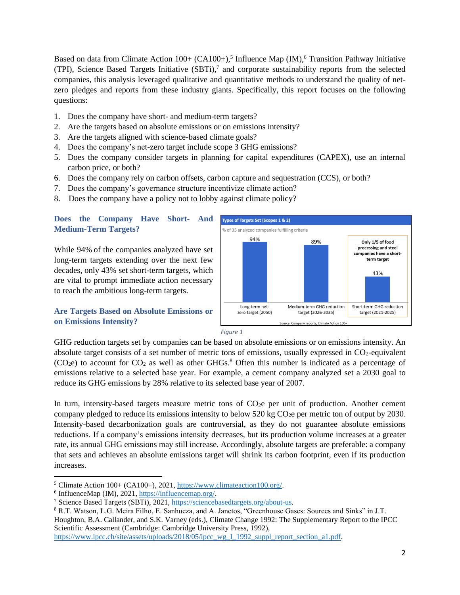Based on data from Climate Action  $100+$  (CA100+),<sup>5</sup> Influence Map (IM),<sup>6</sup> Transition Pathway Initiative (TPI), Science Based Targets Initiative  $(SBTi)$ ,<sup>7</sup> and corporate sustainability reports from the selected companies, this analysis leveraged qualitative and quantitative methods to understand the quality of netzero pledges and reports from these industry giants. Specifically, this report focuses on the following questions:

- 1. Does the company have short- and medium-term targets?
- 2. Are the targets based on absolute emissions or on emissions intensity?
- 3. Are the targets aligned with science-based climate goals?
- 4. Does the company's net-zero target include scope 3 GHG emissions?
- 5. Does the company consider targets in planning for capital expenditures (CAPEX), use an internal carbon price, or both?
- 6. Does the company rely on carbon offsets, carbon capture and sequestration (CCS), or both?
- 7. Does the company's governance structure incentivize climate action?
- 8. Does the company have a policy not to lobby against climate policy?

## **Does the Company Have Short- And Medium-Term Targets?**

While 94% of the companies analyzed have set long-term targets extending over the next few decades, only 43% set short-term targets, which are vital to prompt immediate action necessary to reach the ambitious long-term targets.

## **Are Targets Based on Absolute Emissions or on Emissions Intensity?**



*Figure 1*

GHG reduction targets set by companies can be based on absolute emissions or on emissions intensity. An absolute target consists of a set number of metric tons of emissions, usually expressed in  $CO<sub>2</sub>$ -equivalent  $(CO<sub>2</sub>e)$  to account for  $CO<sub>2</sub>$  as well as other GHGs.<sup>8</sup> Often this number is indicated as a percentage of emissions relative to a selected base year. For example, a cement company analyzed set a 2030 goal to reduce its GHG emissions by 28% relative to its selected base year of 2007.

In turn, intensity-based targets measure metric tons of CO<sub>2</sub>e per unit of production. Another cement company pledged to reduce its emissions intensity to below 520 kg CO<sub>2</sub>e per metric ton of output by 2030. Intensity-based decarbonization goals are controversial, as they do not guarantee absolute emissions reductions. If a company's emissions intensity decreases, but its production volume increases at a greater rate, its annual GHG emissions may still increase. Accordingly, absolute targets are preferable: a company that sets and achieves an absolute emissions target will shrink its carbon footprint, even if its production increases.

<sup>8</sup> R.T. Watson, L.G. Meira Filho, E. Sanhueza, and A. Janetos, "Greenhouse Gases: Sources and Sinks" in J.T. Houghton, B.A. Callander, and S.K. Varney (eds.), Climate Change 1992: The Supplementary Report to the IPCC Scientific Assessment (Cambridge: Cambridge University Press, 1992), [https://www.ipcc.ch/site/assets/uploads/2018/05/ipcc\\_wg\\_I\\_1992\\_suppl\\_report\\_section\\_a1.pdf.](about:blank)

<sup>5</sup> Climate Action 100+ (CA100+), 2021, [https://www.climateaction100.org/.](about:blank)

<sup>&</sup>lt;sup>6</sup> InfluenceMap (IM), 2021, [https://influencemap.org/.](about:blank)

<sup>7</sup> Science Based Targets (SBTi), 2021, [https://sciencebasedtargets.org/about-us.](about:blank)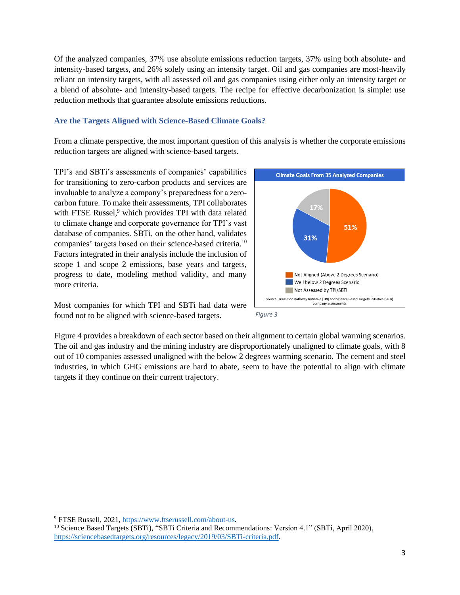Of the analyzed companies, 37% use absolute emissions reduction targets, 37% using both absolute- and intensity-based targets, and 26% solely using an intensity target. Oil and gas companies are most-heavily reliant on intensity targets, with all assessed oil and gas companies using either only an intensity target or a blend of absolute- and intensity-based targets. The recipe for effective decarbonization is simple: use reduction methods that guarantee absolute emissions reductions.

## **Are the Targets Aligned with Science-Based Climate Goals?**

From a climate perspective, the most important question of this analysis is whether the corporate emissions reduction targets are aligned with science-based targets.

TPI's and SBTi's assessments of companies' capabilities for transitioning to zero-carbon products and services are invaluable to analyze a company's preparedness for a zerocarbon future. To make their assessments, TPI collaborates with FTSE Russel,<sup>9</sup> which provides TPI with data related to climate change and corporate governance for TPI's vast database of companies. SBTi, on the other hand, validates companies' targets based on their science-based criteria.<sup>10</sup> Factors integrated in their analysis include the inclusion of scope 1 and scope 2 emissions, base years and targets, progress to date, modeling method validity, and many more criteria.

Most companies for which TPI and SBTi had data were found not to be aligned with science-based targets.





Figure 4 provides a breakdown of each sector based on their alignment to certain global warming scenarios. The oil and gas industry and the mining industry are disproportionately unaligned to climate goals, with 8 out of 10 companies assessed unaligned with the below 2 degrees warming scenario. The cement and steel industries, in which GHG emissions are hard to abate, seem to have the potential to align with climate targets if they continue on their current trajectory.

<sup>9</sup> FTSE Russell, 2021, [https://www.ftserussell.com/about-us.](about:blank)

<sup>&</sup>lt;sup>10</sup> Science Based Targets (SBTi), "SBTi Criteria and Recommendations: Version 4.1" (SBTi, April 2020), [https://sciencebasedtargets.org/resources/legacy/2019/03/SBTi-criteria.pdf.](about:blank)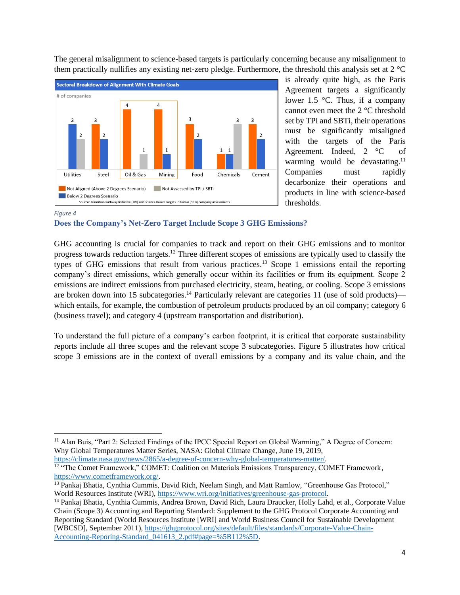The general misalignment to science-based targets is particularly concerning because any misalignment to them practically nullifies any existing net-zero pledge. Furthermore, the threshold this analysis set at 2 °C



is already quite high, as the Paris Agreement targets a significantly lower 1.5  $\degree$ C. Thus, if a company cannot even meet the 2 °C threshold set by TPI and SBTi, their operations must be significantly misaligned with the targets of the Paris Agreement. Indeed, 2 °C of warming would be devastating.<sup>11</sup> Companies must rapidly decarbonize their operations and products in line with science-based thresholds.

#### *Figure 4*

### **Does the Company's Net-Zero Target Include Scope 3 GHG Emissions?**

GHG accounting is crucial for companies to track and report on their GHG emissions and to monitor progress towards reduction targets.<sup>12</sup> Three different scopes of emissions are typically used to classify the types of GHG emissions that result from various practices.<sup>13</sup> Scope 1 emissions entail the reporting company's direct emissions, which generally occur within its facilities or from its equipment. Scope 2 emissions are indirect emissions from purchased electricity, steam, heating, or cooling. Scope 3 emissions are broken down into 15 subcategories.<sup>14</sup> Particularly relevant are categories 11 (use of sold products) which entails, for example, the combustion of petroleum products produced by an oil company; category 6 (business travel); and category 4 (upstream transportation and distribution).

To understand the full picture of a company's carbon footprint, it is critical that corporate sustainability reports include all three scopes and the relevant scope 3 subcategories. Figure 5 illustrates how critical scope 3 emissions are in the context of overall emissions by a company and its value chain, and the

[https://climate.nasa.gov/news/2865/a-degree-of-concern-why-global-temperatures-matter/.](about:blank) 

<sup>11</sup> Alan Buis, "Part 2: Selected Findings of the IPCC Special Report on Global Warming," A Degree of Concern: Why Global Temperatures Matter Series, NASA: Global Climate Change, June 19, 2019,

<sup>&</sup>lt;sup>12 "The Comet Framework," COMET: Coalition on Materials Emissions Transparency, COMET Framework,</sup> [https://www.cometframework.org/.](about:blank)

<sup>&</sup>lt;sup>13</sup> Pankaj Bhatia, Cynthia Cummis, David Rich, Neelam Singh, and Matt Ramlow, "Greenhouse Gas Protocol," World Resources Institute (WRI), [https://www.wri.org/initiatives/greenhouse-gas-protocol.](about:blank)

<sup>14</sup> Pankaj Bhatia, Cynthia Cummis, Andrea Brown, David Rich, Laura Draucker, Holly Lahd, et al., Corporate Value Chain (Scope 3) Accounting and Reporting Standard: Supplement to the GHG Protocol Corporate Accounting and Reporting Standard (World Resources Institute [WRI] and World Business Council for Sustainable Development [WBCSD], September 2011), [https://ghgprotocol.org/sites/default/files/standards/Corporate-Value-Chain-](about:blank)[Accounting-Reporing-Standard\\_041613\\_2.pdf#page=%5B112%5D.](about:blank)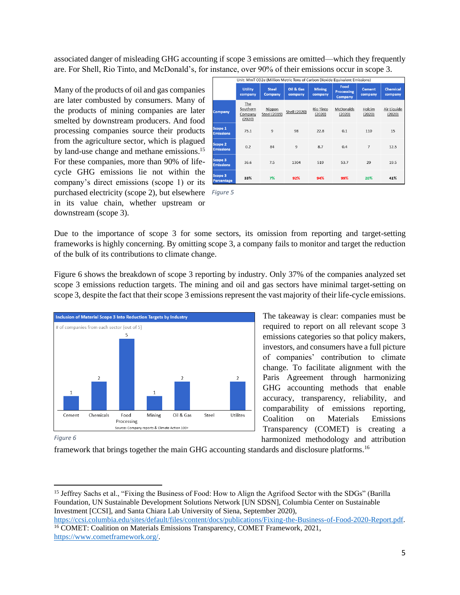associated danger of misleading GHG accounting if scope 3 emissions are omitted—which they frequently are. For Shell, Rio Tinto, and McDonald's, for instance, over 90% of their emissions occur in scope 3.

Many of the products of oil and gas companies are later combusted by consumers. Many of the products of mining companies are later smelted by downstream producers. And food processing companies source their products from the agriculture sector, which is plagued by land-use change and methane emissions.<sup>15</sup> For these companies, more than 90% of lifecycle GHG emissions lie not within the company's direct emissions (scope 1) or its purchased electricity (scope 2), but elsewhere *Figure 5* in its value chain, whether upstream or downstream (scope 3).

|                                    | Unit: MmT CO2e (Million Metric Tons of Carbon Dioxide Equivalent Emissions) |                         |                      |                          |                                      |                          |                            |  |
|------------------------------------|-----------------------------------------------------------------------------|-------------------------|----------------------|--------------------------|--------------------------------------|--------------------------|----------------------------|--|
|                                    | <b>Utility</b><br>company                                                   | <b>Steel</b><br>Company | Oil & Gas<br>company | <b>Mining</b><br>company | Food<br><b>Processing</b><br>Company | <b>Cement</b><br>company | <b>Chemical</b><br>company |  |
| <b>Company</b>                     | The<br>Southern<br>Company<br>(2020)                                        | Nippon<br>Steel (2019)  | Shell (2020)         | Rio Tinto<br>(2020)      | McDonalds<br>(2020)                  | Holcim<br>(2020)         | Air Liquide<br>(2020)      |  |
| Scope 1<br><b>Emissions</b>        | 75.1                                                                        | 9                       | 98                   | 22.8                     | 0.1                                  | 110                      | 15                         |  |
| Scope 2<br><b>Emissions</b>        | 0.2                                                                         | 84                      | $\mathbf{Q}$         | 8.7                      | 0.4                                  | $\overline{7}$           | 12.5                       |  |
| <b>Scope 3</b><br><b>Emissions</b> | 36.6                                                                        | 7.5                     | 1304                 | 519                      | 53.7                                 | 29                       | 19.5                       |  |
| Scope 3<br><b>Percentage</b>       | 33%                                                                         | 7%                      | 92%                  | 94%                      | 99%                                  | 20%                      | 41%                        |  |

Due to the importance of scope 3 for some sectors, its omission from reporting and target-setting frameworks is highly concerning. By omitting scope 3, a company fails to monitor and target the reduction of the bulk of its contributions to climate change.

Figure 6 shows the breakdown of scope 3 reporting by industry. Only 37% of the companies analyzed set scope 3 emissions reduction targets. The mining and oil and gas sectors have minimal target-setting on scope 3, despite the fact that their scope 3 emissions represent the vast majority of their life-cycle emissions.



The takeaway is clear: companies must be required to report on all relevant scope 3 emissions categories so that policy makers, investors, and consumers have a full picture of companies' contribution to climate change. To facilitate alignment with the Paris Agreement through harmonizing GHG accounting methods that enable accuracy, transparency, reliability, and comparability of emissions reporting, Coalition on Materials Emissions Transparency (COMET) is creating a harmonized methodology and attribution

*Figure 6*

framework that brings together the main GHG accounting standards and disclosure platforms.<sup>16</sup>

<sup>&</sup>lt;sup>15</sup> Jeffrey Sachs et al., "Fixing the Business of Food: How to Align the Agrifood Sector with the SDGs" (Barilla Foundation, UN Sustainable Development Solutions Network [UN SDSN], Columbia Center on Sustainable Investment [CCSI], and Santa Chiara Lab University of Siena, September 2020),

[https://ccsi.columbia.edu/sites/default/files/content/docs/publications/Fixing-the-Business-of-Food-2020-Report.pdf.](about:blank) <sup>16</sup> COMET: Coalition on Materials Emissions Transparency, COMET Framework, 2021, [https://www.cometframework.org/.](about:blank)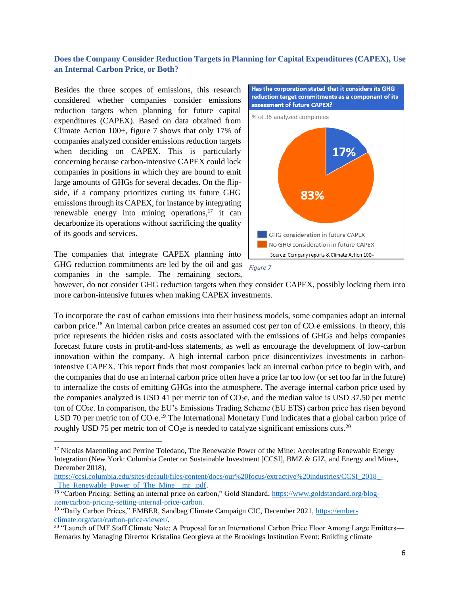## **Does the Company Consider Reduction Targets in Planning for Capital Expenditures (CAPEX), Use an Internal Carbon Price, or Both?**

Besides the three scopes of emissions, this research considered whether companies consider emissions reduction targets when planning for future capital expenditures (CAPEX). Based on data obtained from Climate Action 100+, figure 7 shows that only 17% of companies analyzed consider emissions reduction targets when deciding on CAPEX. This is particularly concerning because carbon-intensive CAPEX could lock companies in positions in which they are bound to emit large amounts of GHGs for several decades. On the flipside, if a company prioritizes cutting its future GHG emissions through its CAPEX, for instance by integrating renewable energy into mining operations,<sup>17</sup> it can decarbonize its operations without sacrificing the quality of its goods and services.

The companies that integrate CAPEX planning into GHG reduction commitments are led by the oil and gas companies in the sample. The remaining sectors,



Has the corporation stated that it considers its GHG



however, do not consider GHG reduction targets when they consider CAPEX, possibly locking them into more carbon-intensive futures when making CAPEX investments.

To incorporate the cost of carbon emissions into their business models, some companies adopt an internal carbon price.<sup>18</sup> An internal carbon price creates an assumed cost per ton of CO<sub>2</sub>e emissions. In theory, this price represents the hidden risks and costs associated with the emissions of GHGs and helps companies forecast future costs in profit-and-loss statements, as well as encourage the development of low-carbon innovation within the company. A high internal carbon price disincentivizes investments in carbonintensive CAPEX. This report finds that most companies lack an internal carbon price to begin with, and the companies that do use an internal carbon price often have a price far too low (or set too far in the future) to internalize the costs of emitting GHGs into the atmosphere. The average internal carbon price used by the companies analyzed is USD 41 per metric ton of  $CO<sub>2</sub>e$ , and the median value is USD 37.50 per metric ton of CO2e. In comparison, the EU's Emissions Trading Scheme (EU ETS) carbon price has risen beyond USD 70 per metric ton of  $CO_2e$ .<sup>19</sup> The International Monetary Fund indicates that a global carbon price of roughly USD 75 per metric ton of  $CO<sub>2</sub>e$  is needed to catalyze significant emissions cuts.<sup>20</sup>

<sup>&</sup>lt;sup>17</sup> Nicolas Maennling and Perrine Toledano, The Renewable Power of the Mine: Accelerating Renewable Energy Integration (New York: Columbia Center on Sustainable Investment [CCSI], BMZ & GIZ, and Energy and Mines, December 2018),

[https://ccsi.columbia.edu/sites/default/files/content/docs/our%20focus/extractive%20industries/CCSI\\_2018\\_-](about:blank) The Renewable Power of The Mine mr .pdf.

<sup>&</sup>lt;sup>18</sup> "Carbon Pricing: Setting an internal price on carbon," Gold Standard, [https://www.goldstandard.org/blog](about:blank)[item/carbon-pricing-setting-internal-price-carbon.](about:blank)

<sup>&</sup>lt;sup>19</sup> "Daily Carbon Prices," EMBER, Sandbag Climate Campaign CIC, December 2021, [https://ember](about:blank)[climate.org/data/carbon-price-viewer/.](about:blank)

<sup>&</sup>lt;sup>20</sup> "Launch of IMF Staff Climate Note: A Proposal for an International Carbon Price Floor Among Large Emitters— Remarks by Managing Director Kristalina Georgieva at the Brookings Institution Event: Building climate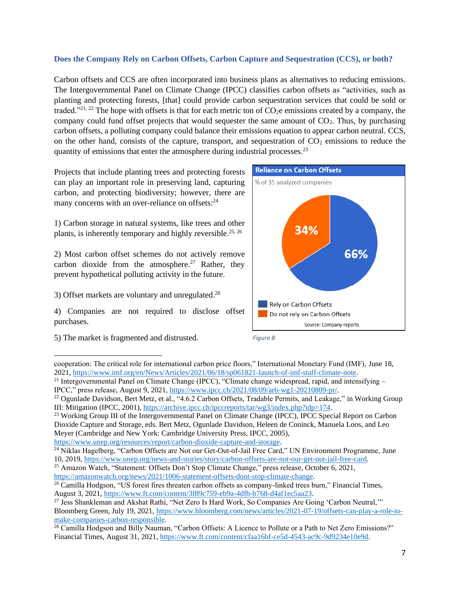## **Does the Company Rely on Carbon Offsets, Carbon Capture and Sequestration (CCS), or both?**

Carbon offsets and CCS are often incorporated into business plans as alternatives to reducing emissions. The Intergovernmental Panel on Climate Change (IPCC) classifies carbon offsets as "activities, such as planting and protecting forests, [that] could provide carbon sequestration services that could be sold or traded."<sup>21, 22</sup> The hope with offsets is that for each metric ton of  $CO<sub>2</sub>e$  emissions created by a company, the company could fund offset projects that would sequester the same amount of  $CO<sub>2</sub>$ . Thus, by purchasing carbon offsets, a polluting company could balance their emissions equation to appear carbon neutral. CCS, on the other hand, consists of the capture, transport, and sequestration of  $CO<sub>2</sub>$  emissions to reduce the quantity of emissions that enter the atmosphere during industrial processes.<sup>23</sup>

Projects that include planting trees and protecting forests can play an important role in preserving land, capturing carbon, and protecting biodiversity; however, there are many concerns with an over-reliance on offsets:<sup>24</sup>

1) Carbon storage in natural systems, like trees and other plants, is inherently temporary and highly reversible.<sup>25, 26</sup>

2) Most carbon offset schemes do not actively remove carbon dioxide from the atmosphere.<sup>27</sup> Rather, they prevent hypothetical polluting activity in the future.

3) Offset markets are voluntary and unregulated.<sup>28</sup>

4) Companies are not required to disclose offset purchases.

5) The market is fragmented and distrusted.





cooperation: The critical role for international carbon price floors," International Monetary Fund (IMF), June 18, 2021, [https://www.imf.org/en/News/Articles/2021/06/18/sp061821-launch-of-imf-staff-climate-note.](about:blank)

[https://www.unep.org/resources/report/carbon-dioxide-capture-and-storage.](about:blank)

<sup>&</sup>lt;sup>21</sup> Intergovernmental Panel on Climate Change (IPCC), "Climate change widespread, rapid, and intensifying  $-$ IPCC," press release, August 9, 2021, [https://www.ipcc.ch/2021/08/09/ar6-wg1-20210809-pr/.](about:blank)

<sup>&</sup>lt;sup>22</sup> Ogunlade Davidson, Bert Metz, et al., "4.6.2 Carbon Offsets, Tradable Permits, and Leakage," in Working Group III: Mitigation (IPCC, 2001), [https://archive.ipcc.ch/ipccreports/tar/wg3/index.php?idp=174.](about:blank)

<sup>&</sup>lt;sup>23</sup> Working Group III of the Intergovernmental Panel on Climate Change (IPCC), IPCC Special Report on Carbon Dioxide Capture and Storage, eds. Bert Metz, Ogunlade Davidson, Heleen de Coninck, Manuela Loos, and Leo Meyer (Cambridge and New York: Cambridge University Press, IPCC, 2005),

<sup>&</sup>lt;sup>24</sup> Niklas Hagelberg, "Carbon Offsets are Not our Get-Out-of-Jail Free Card," UN Environment Programme, June 10, 2019, [https://www.unep.org/news-and-stories/story/carbon-offsets-are-not-our-get-out-jail-free-card.](about:blank)

<sup>&</sup>lt;sup>25</sup> Amazon Watch, "Statement: Offsets Don't Stop Climate Change," press release, October 6, 2021, [https://amazonwatch.org/news/2021/1006-statement-offsets-dont-stop-climate-change.](about:blank)

<sup>&</sup>lt;sup>26</sup> Camilla Hodgson, "US forest fires threaten carbon offsets as company-linked trees burn," Financial Times, August 3, 2021, [https://www.ft.com/content/3f89c759-eb9a-4dfb-b768-d4af1ec5aa23.](about:blank)

<sup>&</sup>lt;sup>27</sup> Jess Shankleman and Akshat Rathi, "Net Zero Is Hard Work, So Companies Are Going 'Carbon Neutral,"" Bloomberg Green, July 19, 2021, [https://www.bloomberg.com/news/articles/2021-07-19/offsets-can-play-a-role-to](about:blank)[make-companies-carbon-responsible.](about:blank)

<sup>&</sup>lt;sup>28</sup> Camilla Hodgson and Billy Nauman, "Carbon Offsets: A Licence to Pollute or a Path to Net Zero Emissions?" Financial Times, August 31, 2021, [https://www.ft.com/content/cfaa16bf-ce5d-4543-ac9c-9d9234e10e9d.](about:blank)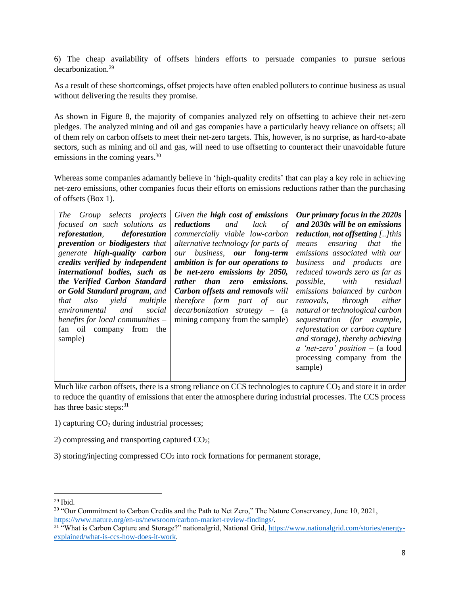6) The cheap availability of offsets hinders efforts to persuade companies to pursue serious decarbonization.<sup>29</sup>

As a result of these shortcomings, offset projects have often enabled polluters to continue business as usual without delivering the results they promise.

As shown in Figure 8, the majority of companies analyzed rely on offsetting to achieve their net-zero pledges. The analyzed mining and oil and gas companies have a particularly heavy reliance on offsets; all of them rely on carbon offsets to meet their net-zero targets. This, however, is no surprise, as hard-to-abate sectors, such as mining and oil and gas, will need to use offsetting to counteract their unavoidable future emissions in the coming years.<sup>30</sup>

Whereas some companies adamantly believe in 'high-quality credits' that can play a key role in achieving net-zero emissions, other companies focus their efforts on emissions reductions rather than the purchasing of offsets (Box 1).

| The Group selects projects<br>focused on such solutions as<br>deforestation<br><i>reforestation,</i><br>prevention or biodigesters that<br>generate high-quality carbon<br>credits verified by independent<br>international bodies, such as<br>the Verified Carbon Standard<br>or Gold Standard program, and<br>yield<br>multiple<br>that<br>also<br>and<br>social<br>environmental<br>benefits for local communities $-$<br>from the<br>(an oil company<br>sample) | Given the high cost of emissions<br>reductions<br>and<br><i>lack</i><br>of<br>commercially viable low-carbon<br>alternative technology for parts of<br>our business, our long-term<br>ambition is for our operations to<br>be net-zero emissions by 2050,<br>rather than zero emissions.<br><b>Carbon offsets and removals will</b><br>therefore form part of our<br>$decarbonization$ strategy – $(a$<br>mining company from the sample) | Our primary focus in the 2020s<br>and 2030s will be on emissions<br>reduction, not offsetting $\left[ \ldots \right]$ this<br>ensuring that<br>the<br>means<br>emissions associated with our<br>business and products are<br>reduced towards zero as far as<br>with<br><i>possible</i> ,<br>residual<br>emissions balanced by carbon<br>removals, through<br>either<br>natural or technological carbon<br>sequestration (for example,<br>reforestation or carbon capture<br>and storage), thereby achieving<br>a 'net-zero' position $-$ (a food |
|---------------------------------------------------------------------------------------------------------------------------------------------------------------------------------------------------------------------------------------------------------------------------------------------------------------------------------------------------------------------------------------------------------------------------------------------------------------------|-------------------------------------------------------------------------------------------------------------------------------------------------------------------------------------------------------------------------------------------------------------------------------------------------------------------------------------------------------------------------------------------------------------------------------------------|--------------------------------------------------------------------------------------------------------------------------------------------------------------------------------------------------------------------------------------------------------------------------------------------------------------------------------------------------------------------------------------------------------------------------------------------------------------------------------------------------------------------------------------------------|
|                                                                                                                                                                                                                                                                                                                                                                                                                                                                     |                                                                                                                                                                                                                                                                                                                                                                                                                                           | processing company from the<br>sample)                                                                                                                                                                                                                                                                                                                                                                                                                                                                                                           |

Much like carbon offsets, there is a strong reliance on CCS technologies to capture  $CO<sub>2</sub>$  and store it in order to reduce the quantity of emissions that enter the atmosphere during industrial processes. The CCS process has three basic steps:<sup>31</sup>

1) capturing  $CO<sub>2</sub>$  during industrial processes;

2) compressing and transporting captured  $CO<sub>2</sub>$ ;

3) storing/injecting compressed  $CO<sub>2</sub>$  into rock formations for permanent storage,

 $29$  Ibid.

<sup>&</sup>lt;sup>30</sup> "Our Commitment to Carbon Credits and the Path to Net Zero," The Nature Conservancy, June 10, 2021, [https://www.nature.org/en-us/newsroom/carbon-market-review-findings/.](about:blank)

<sup>&</sup>lt;sup>31</sup> "What is Carbon Capture and Storage?" nationalgrid, National Grid, [https://www.nationalgrid.com/stories/energy](about:blank)[explained/what-is-ccs-how-does-it-work.](about:blank)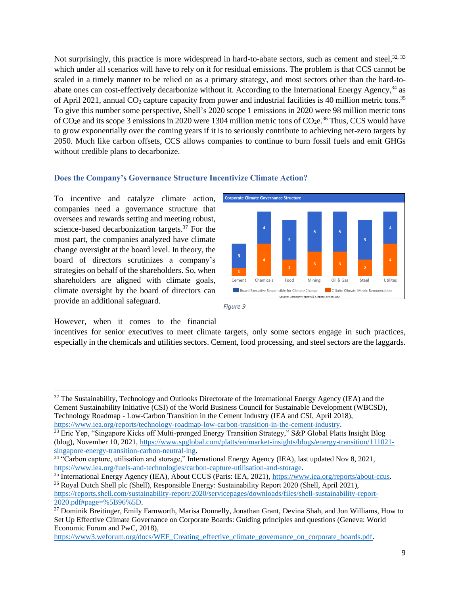Not surprisingly, this practice is more widespread in hard-to-abate sectors, such as cement and steel,<sup>32, 33</sup> which under all scenarios will have to rely on it for residual emissions. The problem is that CCS cannot be scaled in a timely manner to be relied on as a primary strategy, and most sectors other than the hard-toabate ones can cost-effectively decarbonize without it. According to the International Energy Agency,<sup>34</sup> as of April 2021, annual  $CO_2$  capture capacity from power and industrial facilities is 40 million metric tons.<sup>35</sup> To give this number some perspective, Shell's 2020 scope 1 emissions in 2020 were 98 million metric tons of CO<sub>2</sub>e and its scope 3 emissions in 2020 were 1304 million metric tons of CO<sub>2</sub>e.<sup>36</sup> Thus, CCS would have to grow exponentially over the coming years if it is to seriously contribute to achieving net-zero targets by 2050. Much like carbon offsets, CCS allows companies to continue to burn fossil fuels and emit GHGs without credible plans to decarbonize.

## **Does the Company's Governance Structure Incentivize Climate Action?**

To incentive and catalyze climate action, companies need a governance structure that oversees and rewards setting and meeting robust, science-based decarbonization targets. <sup>37</sup> For the most part, the companies analyzed have climate change oversight at the board level. In theory, the board of directors scrutinizes a company's strategies on behalf of the shareholders. So, when shareholders are aligned with climate goals, climate oversight by the board of directors can provide an additional safeguard.



*Figure 9*

However, when it comes to the financial

incentives for senior executives to meet climate targets, only some sectors engage in such practices, especially in the chemicals and utilities sectors. Cement, food processing, and steel sectors are the laggards.

<sup>35</sup> International Energy Agency (IEA), About CCUS (Paris: IEA, 2021), [https://www.iea.org/reports/about-ccus.](about:blank) <sup>36</sup> Royal Dutch Shell plc (Shell), Responsible Energy: Sustainability Report 2020 (Shell, April 2021), [https://reports.shell.com/sustainability-report/2020/servicepages/downloads/files/shell-sustainability-report-](about:blank)[2020.pdf#page=%5B96%5D.](about:blank)

[https://www3.weforum.org/docs/WEF\\_Creating\\_effective\\_climate\\_governance\\_on\\_corporate\\_boards.pdf.](about:blank)

<sup>&</sup>lt;sup>32</sup> The Sustainability, Technology and Outlooks Directorate of the International Energy Agency (IEA) and the Cement Sustainability Initiative (CSI) of the World Business Council for Sustainable Development (WBCSD), Technology Roadmap - Low-Carbon Transition in the Cement Industry (IEA and CSI, April 2018), [https://www.iea.org/reports/technology-roadmap-low-carbon-transition-in-the-cement-industry.](about:blank)

<sup>&</sup>lt;sup>33</sup> Eric Yep, "Singapore Kicks off Multi-pronged Energy Transition Strategy," S&P Global Platts Insight Blog (blog), November 10, 2021, [https://www.spglobal.com/platts/en/market-insights/blogs/energy-transition/111021](about:blank) [singapore-energy-transition-carbon-neutral-lng.](about:blank)

<sup>&</sup>lt;sup>34</sup> "Carbon capture, utilisation and storage," International Energy Agency (IEA), last updated Nov 8, 2021, [https://www.iea.org/fuels-and-technologies/carbon-capture-utilisation-and-storage.](about:blank)

<sup>&</sup>lt;sup>37</sup> Dominik Breitinger, Emily Farnworth, Marisa Donnelly, Jonathan Grant, Devina Shah, and Jon Williams, How to Set Up Effective Climate Governance on Corporate Boards: Guiding principles and questions (Geneva: World Economic Forum and PwC, 2018),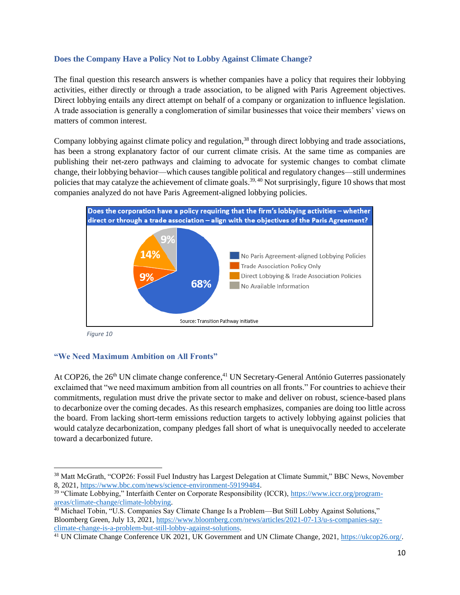## **Does the Company Have a Policy Not to Lobby Against Climate Change?**

The final question this research answers is whether companies have a policy that requires their lobbying activities, either directly or through a trade association, to be aligned with Paris Agreement objectives. Direct lobbying entails any direct attempt on behalf of a company or organization to influence legislation. A trade association is generally a conglomeration of similar businesses that voice their members' views on matters of common interest.

Company lobbying against climate policy and regulation,<sup>38</sup> through direct lobbying and trade associations, has been a strong explanatory factor of our current climate crisis. At the same time as companies are publishing their net-zero pathways and claiming to advocate for systemic changes to combat climate change, their lobbying behavior—which causes tangible political and regulatory changes—still undermines policies that may catalyze the achievement of climate goals.<sup>39, 40</sup> Not surprisingly, figure 10 shows that most companies analyzed do not have Paris Agreement-aligned lobbying policies.



*Figure 10*

## **"We Need Maximum Ambition on All Fronts"**

At COP26, the 26<sup>th</sup> UN climate change conference,<sup>41</sup> UN Secretary-General António Guterres passionately exclaimed that "we need maximum ambition from all countries on all fronts." For countries to achieve their commitments, regulation must drive the private sector to make and deliver on robust, science-based plans to decarbonize over the coming decades. As this research emphasizes, companies are doing too little across the board. From lacking short-term emissions reduction targets to actively lobbying against policies that would catalyze decarbonization, company pledges fall short of what is unequivocally needed to accelerate toward a decarbonized future.

<sup>38</sup> Matt McGrath, "COP26: Fossil Fuel Industry has Largest Delegation at Climate Summit," BBC News, November 8, 2021, [https://www.bbc.com/news/science-environment-59199484.](about:blank)

<sup>&</sup>lt;sup>39</sup> "Climate Lobbying," Interfaith Center on Corporate Responsibility (ICCR), [https://www.iccr.org/program](about:blank)[areas/climate-change/climate-lobbying.](about:blank)

<sup>40</sup> Michael Tobin, "U.S. Companies Say Climate Change Is a Problem—But Still Lobby Against Solutions," Bloomberg Green, July 13, 2021, [https://www.bloomberg.com/news/articles/2021-07-13/u-s-companies-say](about:blank)[climate-change-is-a-problem-but-still-lobby-against-solutions.](about:blank)

<sup>41</sup> UN Climate Change Conference UK 2021, UK Government and UN Climate Change, 2021[, https://ukcop26.org/.](about:blank)